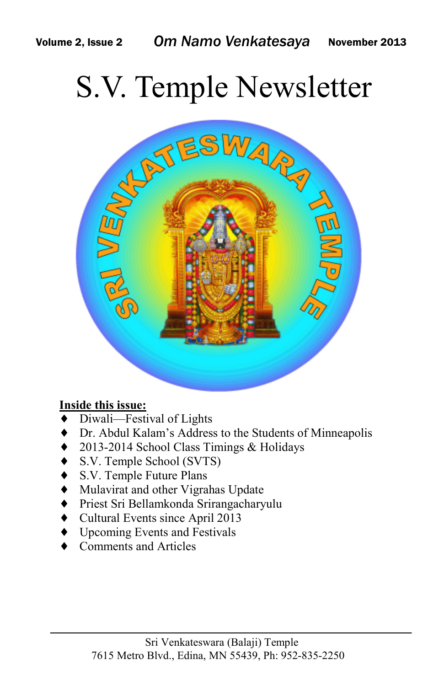# S.V. Temple Newsletter



### **Inside this issue:**

- Diwali—Festival of Lights
- ♦ Dr. Abdul Kalam's Address to the Students of Minneapolis
- 2013-2014 School Class Timings & Holidays
- S.V. Temple School (SVTS)
- ♦ S.V. Temple Future Plans
- ♦ Mulavirat and other Vigrahas Update
- ♦ Priest Sri Bellamkonda Srirangacharyulu
- ♦ Cultural Events since April 2013
- ♦ Upcoming Events and Festivals
- Comments and Articles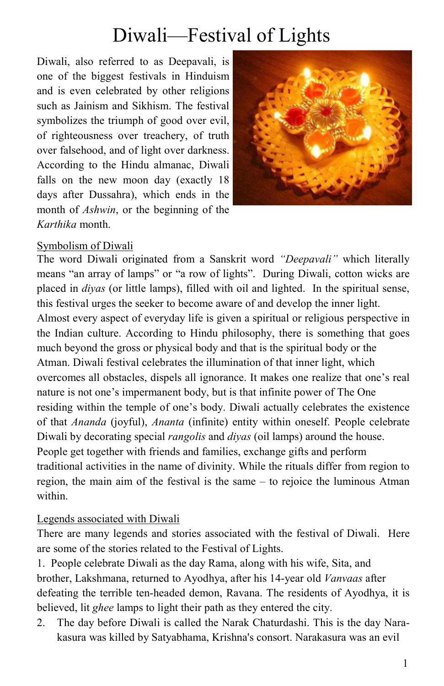## Diwali—Festival of Lights

Diwali, also referred to as Deepavali, is one of the biggest festivals in Hinduism and is even celebrated by other religions such as Jainism and Sikhism. The festival symbolizes the triumph of good over evil, of righteousness over treachery, of truth over falsehood, and of light over darkness. According to the Hindu almanac, Diwali falls on the new moon day (exactly 18) days after Dussahra), which ends in the month of *Ashwin*, or the beginning of the *Karthika* month.



### Symbolism of Diwali

The word Diwali originated from a Sanskrit word *"Deepavali"* which literally means "an array of lamps" or "a row of lights". During Diwali, cotton wicks are placed in *diyas* (or little lamps), filled with oil and lighted. In the spiritual sense, this festival urges the seeker to become aware of and develop the inner light. Almost every aspect of everyday life is given a spiritual or religious perspective in the Indian culture. According to Hindu philosophy, there is something that goes much beyond the gross or physical body and that is the spiritual body or the Atman. Diwali festival celebrates the illumination of that inner light, which overcomes all obstacles, dispels all ignorance. It makes one realize that one's real nature is not one's impermanent body, but is that infinite power of The One residing within the temple of one's body. Diwali actually celebrates the existence of that *Ananda* (joyful), *Ananta* (infinite) entity within oneself. People celebrate Diwali by decorating special *rangolis* and *diyas* (oil lamps) around the house. People get together with friends and families, exchange gifts and perform traditional activities in the name of divinity. While the rituals differ from region to region, the main aim of the festival is the same – to rejoice the luminous Atman within.

### Legends associated with Diwali

There are many legends and stories associated with the festival of Diwali. Here are some of the stories related to the Festival of Lights.

1. People celebrate Diwali as the day Rama, along with his wife, Sita, and brother, Lakshmana, returned to Ayodhya, after his 14-year old *Vanvaas* after defeating the terrible ten-headed demon, Ravana. The residents of Ayodhya, it is believed, lit *ghee* lamps to light their path as they entered the city.

2. The day before Diwali is called the Narak Chaturdashi. This is the day Narakasura was killed by Satyabhama, Krishna's consort. Narakasura was an evil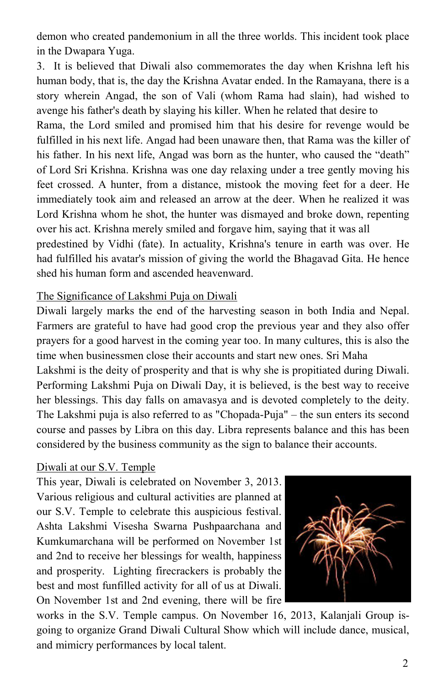demon who created pandemonium in all the three worlds. This incident took place in the Dwapara Yuga.

3. It is believed that Diwali also commemorates the day when Krishna left his human body, that is, the day the Krishna Avatar ended. In the Ramayana, there is a story wherein Angad, the son of Vali (whom Rama had slain), had wished to avenge his father's death by slaying his killer. When he related that desire to

Rama, the Lord smiled and promised him that his desire for revenge would be fulfilled in his next life. Angad had been unaware then, that Rama was the killer of his father. In his next life, Angad was born as the hunter, who caused the "death" of Lord Sri Krishna. Krishna was one day relaxing under a tree gently moving his feet crossed. A hunter, from a distance, mistook the moving feet for a deer. He immediately took aim and released an arrow at the deer. When he realized it was Lord Krishna whom he shot, the hunter was dismayed and broke down, repenting over his act. Krishna merely smiled and forgave him, saying that it was all

predestined by Vidhi (fate). In actuality, Krishna's tenure in earth was over. He had fulfilled his avatar's mission of giving the world the Bhagavad Gita. He hence shed his human form and ascended heavenward.

### The Significance of Lakshmi Puja on Diwali

Diwali largely marks the end of the harvesting season in both India and Nepal. Farmers are grateful to have had good crop the previous year and they also offer prayers for a good harvest in the coming year too. In many cultures, this is also the time when businessmen close their accounts and start new ones. Sri Maha

Lakshmi is the deity of prosperity and that is why she is propitiated during Diwali. Performing Lakshmi Puja on Diwali Day, it is believed, is the best way to receive her blessings. This day falls on amavasya and is devoted completely to the deity. The Lakshmi puja is also referred to as "Chopada-Puja" – the sun enters its second course and passes by Libra on this day. Libra represents balance and this has been considered by the business community as the sign to balance their accounts.

### Diwali at our S.V. Temple

This year, Diwali is celebrated on November 3, 2013. Various religious and cultural activities are planned at our S.V. Temple to celebrate this auspicious festival. Ashta Lakshmi Visesha Swarna Pushpaarchana and Kumkumarchana will be performed on November 1st and 2nd to receive her blessings for wealth, happiness and prosperity. Lighting firecrackers is probably the best and most funfilled activity for all of us at Diwali. On November 1st and 2nd evening, there will be fire



works in the S.V. Temple campus. On November 16, 2013, Kalanjali Group isgoing to organize Grand Diwali Cultural Show which will include dance, musical, and mimicry performances by local talent.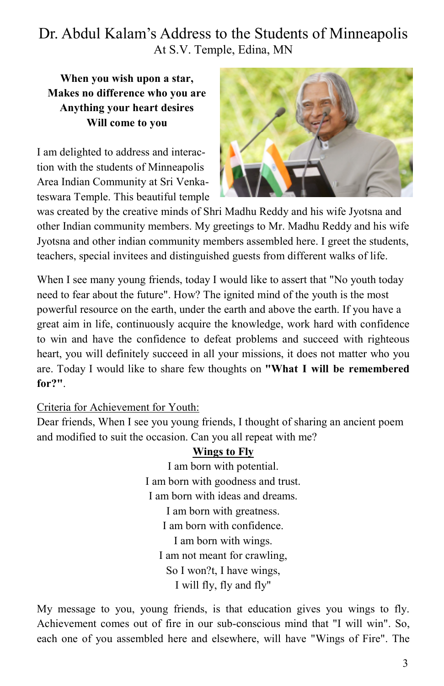## Dr. Abdul Kalam's Address to the Students of Minneapolis At S.V. Temple, Edina, MN

**When you wish upon a star, Makes no difference who you are Anything your heart desires Will come to you**

I am delighted to address and interaction with the students of Minneapolis Area Indian Community at Sri Venkateswara Temple. This beautiful temple



was created by the creative minds of Shri Madhu Reddy and his wife Jyotsna and other Indian community members. My greetings to Mr. Madhu Reddy and his wife Jyotsna and other indian community members assembled here. I greet the students, teachers, special invitees and distinguished guests from different walks of life.

When I see many young friends, today I would like to assert that "No youth today" need to fear about the future". How? The ignited mind of the youth is the most powerful resource on the earth, under the earth and above the earth. If you have a great aim in life, continuously acquire the knowledge, work hard with confidence to win and have the confidence to defeat problems and succeed with righteous heart, you will definitely succeed in all your missions, it does not matter who you are. Today I would like to share few thoughts on **"What I will be remembered for?"**.

### Criteria for Achievement for Youth:

Dear friends, When I see you young friends, I thought of sharing an ancient poem and modified to suit the occasion. Can you all repeat with me?

### **Wings to Fly**

I am born with potential. I am born with goodness and trust. I am born with ideas and dreams. I am born with greatness. I am born with confidence. I am born with wings. I am not meant for crawling, So I won?t, I have wings, I will fly, fly and fly"

My message to you, young friends, is that education gives you wings to fly. Achievement comes out of fire in our sub-conscious mind that "I will win". So, each one of you assembled here and elsewhere, will have "Wings of Fire". The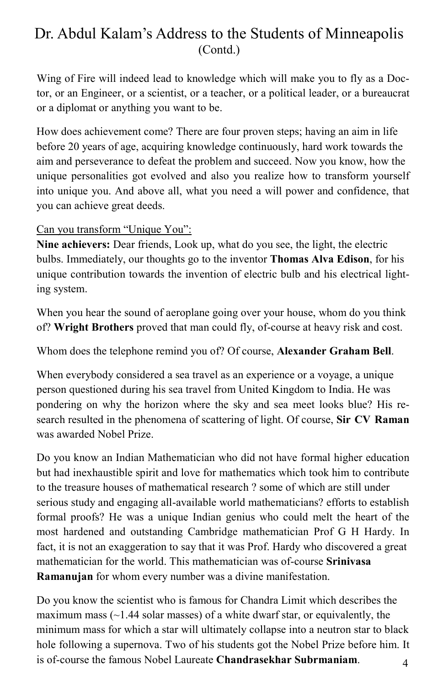Wing of Fire will indeed lead to knowledge which will make you to fly as a Doctor, or an Engineer, or a scientist, or a teacher, or a political leader, or a bureaucrat or a diplomat or anything you want to be.

How does achievement come? There are four proven steps; having an aim in life before 20 years of age, acquiring knowledge continuously, hard work towards the aim and perseverance to defeat the problem and succeed. Now you know, how the unique personalities got evolved and also you realize how to transform yourself into unique you. And above all, what you need a will power and confidence, that you can achieve great deeds.

### Can you transform "Unique You":

**Nine achievers:** Dear friends, Look up, what do you see, the light, the electric bulbs. Immediately, our thoughts go to the inventor **Thomas Alva Edison**, for his unique contribution towards the invention of electric bulb and his electrical lighting system.

When you hear the sound of aeroplane going over your house, whom do you think of? **Wright Brothers** proved that man could fly, of-course at heavy risk and cost.

Whom does the telephone remind you of? Of course, **Alexander Graham Bell**.

When everybody considered a sea travel as an experience or a voyage, a unique person questioned during his sea travel from United Kingdom to India. He was pondering on why the horizon where the sky and sea meet looks blue? His research resulted in the phenomena of scattering of light. Of course, **Sir CV Raman** was awarded Nobel Prize.

Do you know an Indian Mathematician who did not have formal higher education but had inexhaustible spirit and love for mathematics which took him to contribute to the treasure houses of mathematical research ? some of which are still under serious study and engaging all-available world mathematicians? efforts to establish formal proofs? He was a unique Indian genius who could melt the heart of the most hardened and outstanding Cambridge mathematician Prof G H Hardy. In fact, it is not an exaggeration to say that it was Prof. Hardy who discovered a great mathematician for the world. This mathematician was of-course **Srinivasa Ramanujan** for whom every number was a divine manifestation.

 4 Do you know the scientist who is famous for Chandra Limit which describes the maximum mass  $(-1.44 \text{ solar masses})$  of a white dwarf star, or equivalently, the minimum mass for which a star will ultimately collapse into a neutron star to black hole following a supernova. Two of his students got the Nobel Prize before him. It is of-course the famous Nobel Laureate **Chandrasekhar Subrmaniam**.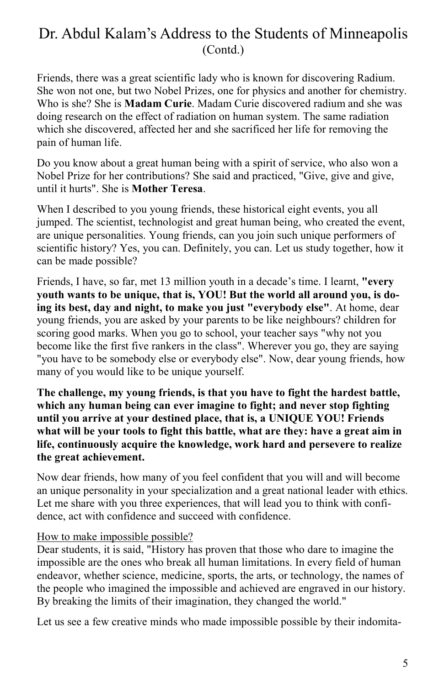Friends, there was a great scientific lady who is known for discovering Radium. She won not one, but two Nobel Prizes, one for physics and another for chemistry. Who is she? She is **Madam Curie**. Madam Curie discovered radium and she was doing research on the effect of radiation on human system. The same radiation which she discovered, affected her and she sacrificed her life for removing the pain of human life.

Do you know about a great human being with a spirit of service, who also won a Nobel Prize for her contributions? She said and practiced, "Give, give and give, until it hurts". She is **Mother Teresa**.

When I described to you young friends, these historical eight events, you all jumped. The scientist, technologist and great human being, who created the event, are unique personalities. Young friends, can you join such unique performers of scientific history? Yes, you can. Definitely, you can. Let us study together, how it can be made possible?

Friends, I have, so far, met 13 million youth in a decade's time. I learnt, **"every youth wants to be unique, that is, YOU! But the world all around you, is doing its best, day and night, to make you just "everybody else"**. At home, dear young friends, you are asked by your parents to be like neighbours? children for scoring good marks. When you go to school, your teacher says "why not you become like the first five rankers in the class". Wherever you go, they are saying "you have to be somebody else or everybody else". Now, dear young friends, how many of you would like to be unique yourself.

**The challenge, my young friends, is that you have to fight the hardest battle, which any human being can ever imagine to fight; and never stop fighting until you arrive at your destined place, that is, a UNIQUE YOU! Friends what will be your tools to fight this battle, what are they: have a great aim in life, continuously acquire the knowledge, work hard and persevere to realize the great achievement.**

Now dear friends, how many of you feel confident that you will and will become an unique personality in your specialization and a great national leader with ethics. Let me share with you three experiences, that will lead you to think with confidence, act with confidence and succeed with confidence.

#### How to make impossible possible?

Dear students, it is said, "History has proven that those who dare to imagine the impossible are the ones who break all human limitations. In every field of human endeavor, whether science, medicine, sports, the arts, or technology, the names of the people who imagined the impossible and achieved are engraved in our history. By breaking the limits of their imagination, they changed the world."

Let us see a few creative minds who made impossible possible by their indomita-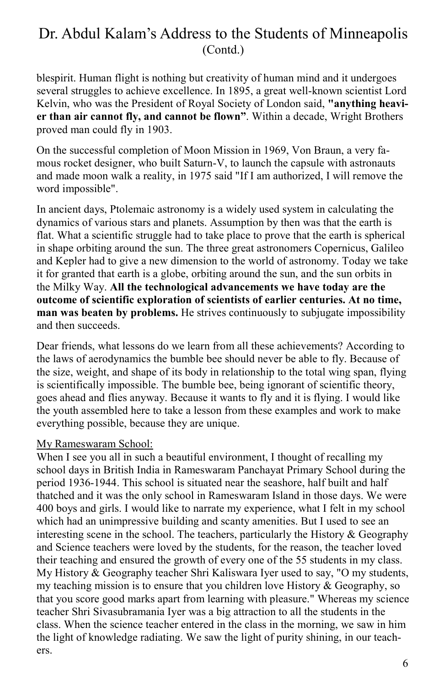blespirit. Human flight is nothing but creativity of human mind and it undergoes several struggles to achieve excellence. In 1895, a great well-known scientist Lord Kelvin, who was the President of Royal Society of London said, **"anything heavier than air cannot fly, and cannot be flown"**. Within a decade, Wright Brothers proved man could fly in 1903.

On the successful completion of Moon Mission in 1969, Von Braun, a very famous rocket designer, who built Saturn-V, to launch the capsule with astronauts and made moon walk a reality, in 1975 said "If I am authorized, I will remove the word impossible".

In ancient days, Ptolemaic astronomy is a widely used system in calculating the dynamics of various stars and planets. Assumption by then was that the earth is flat. What a scientific struggle had to take place to prove that the earth is spherical in shape orbiting around the sun. The three great astronomers Copernicus, Galileo and Kepler had to give a new dimension to the world of astronomy. Today we take it for granted that earth is a globe, orbiting around the sun, and the sun orbits in the Milky Way. **All the technological advancements we have today are the outcome of scientific exploration of scientists of earlier centuries. At no time, man was beaten by problems.** He strives continuously to subjugate impossibility and then succeeds.

Dear friends, what lessons do we learn from all these achievements? According to the laws of aerodynamics the bumble bee should never be able to fly. Because of the size, weight, and shape of its body in relationship to the total wing span, flying is scientifically impossible. The bumble bee, being ignorant of scientific theory, goes ahead and flies anyway. Because it wants to fly and it is flying. I would like the youth assembled here to take a lesson from these examples and work to make everything possible, because they are unique.

#### My Rameswaram School:

When I see you all in such a beautiful environment, I thought of recalling my school days in British India in Rameswaram Panchayat Primary School during the period 1936-1944. This school is situated near the seashore, half built and half thatched and it was the only school in Rameswaram Island in those days. We were 400 boys and girls. I would like to narrate my experience, what I felt in my school which had an unimpressive building and scanty amenities. But I used to see an interesting scene in the school. The teachers, particularly the History  $\&$  Geography and Science teachers were loved by the students, for the reason, the teacher loved their teaching and ensured the growth of every one of the 55 students in my class. My History & Geography teacher Shri Kaliswara Iyer used to say, "O my students, my teaching mission is to ensure that you children love History  $\&$  Geography, so that you score good marks apart from learning with pleasure." Whereas my science teacher Shri Sivasubramania Iyer was a big attraction to all the students in the class. When the science teacher entered in the class in the morning, we saw in him the light of knowledge radiating. We saw the light of purity shining, in our teachers.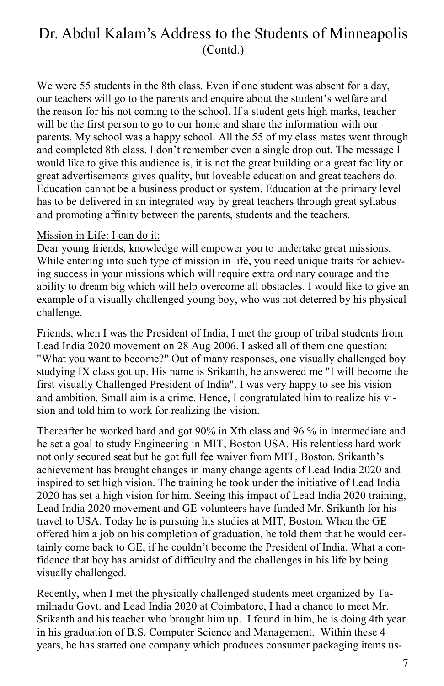We were 55 students in the 8th class. Even if one student was absent for a day, our teachers will go to the parents and enquire about the student's welfare and the reason for his not coming to the school. If a student gets high marks, teacher will be the first person to go to our home and share the information with our parents. My school was a happy school. All the 55 of my class mates went through and completed 8th class. I don't remember even a single drop out. The message I would like to give this audience is, it is not the great building or a great facility or great advertisements gives quality, but loveable education and great teachers do. Education cannot be a business product or system. Education at the primary level has to be delivered in an integrated way by great teachers through great syllabus and promoting affinity between the parents, students and the teachers.

#### Mission in Life: I can do it:

Dear young friends, knowledge will empower you to undertake great missions. While entering into such type of mission in life, you need unique traits for achieving success in your missions which will require extra ordinary courage and the ability to dream big which will help overcome all obstacles. I would like to give an example of a visually challenged young boy, who was not deterred by his physical challenge.

Friends, when I was the President of India, I met the group of tribal students from Lead India 2020 movement on 28 Aug 2006. I asked all of them one question: "What you want to become?" Out of many responses, one visually challenged boy studying IX class got up. His name is Srikanth, he answered me "I will become the first visually Challenged President of India". I was very happy to see his vision and ambition. Small aim is a crime. Hence, I congratulated him to realize his vision and told him to work for realizing the vision.

Thereafter he worked hard and got 90% in Xth class and 96 % in intermediate and he set a goal to study Engineering in MIT, Boston USA. His relentless hard work not only secured seat but he got full fee waiver from MIT, Boston. Srikanth's achievement has brought changes in many change agents of Lead India 2020 and inspired to set high vision. The training he took under the initiative of Lead India 2020 has set a high vision for him. Seeing this impact of Lead India 2020 training, Lead India 2020 movement and GE volunteers have funded Mr. Srikanth for his travel to USA. Today he is pursuing his studies at MIT, Boston. When the GE offered him a job on his completion of graduation, he told them that he would certainly come back to GE, if he couldn't become the President of India. What a confidence that boy has amidst of difficulty and the challenges in his life by being visually challenged.

Recently, when I met the physically challenged students meet organized by Tamilnadu Govt. and Lead India 2020 at Coimbatore, I had a chance to meet Mr. Srikanth and his teacher who brought him up. I found in him, he is doing 4th year in his graduation of B.S. Computer Science and Management. Within these 4 years, he has started one company which produces consumer packaging items us-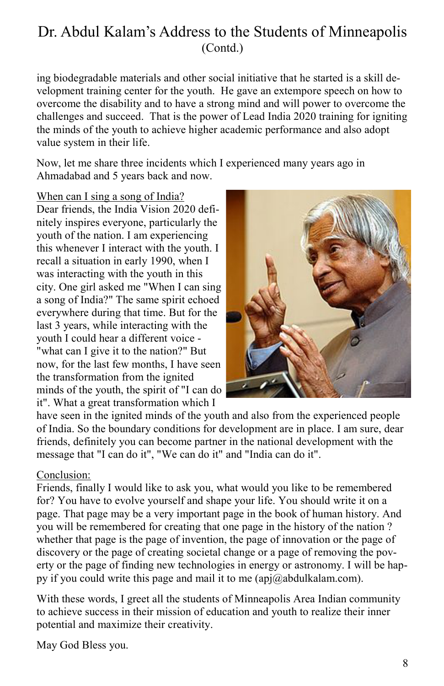ing biodegradable materials and other social initiative that he started is a skill development training center for the youth. He gave an extempore speech on how to overcome the disability and to have a strong mind and will power to overcome the challenges and succeed. That is the power of Lead India 2020 training for igniting the minds of the youth to achieve higher academic performance and also adopt value system in their life.

Now, let me share three incidents which I experienced many years ago in Ahmadabad and 5 years back and now.

When can I sing a song of India?

Dear friends, the India Vision 2020 definitely inspires everyone, particularly the youth of the nation. I am experiencing this whenever I interact with the youth. I recall a situation in early 1990, when I was interacting with the youth in this city. One girl asked me "When I can sing a song of India?" The same spirit echoed everywhere during that time. But for the last 3 years, while interacting with the youth I could hear a different voice - "what can I give it to the nation?" But now, for the last few months, I have seen the transformation from the ignited minds of the youth, the spirit of "I can do it". What a great transformation which I



have seen in the ignited minds of the youth and also from the experienced people of India. So the boundary conditions for development are in place. I am sure, dear friends, definitely you can become partner in the national development with the message that "I can do it", "We can do it" and "India can do it".

### Conclusion:

Friends, finally I would like to ask you, what would you like to be remembered for? You have to evolve yourself and shape your life. You should write it on a page. That page may be a very important page in the book of human history. And you will be remembered for creating that one page in the history of the nation ? whether that page is the page of invention, the page of innovation or the page of discovery or the page of creating societal change or a page of removing the poverty or the page of finding new technologies in energy or astronomy. I will be happy if you could write this page and mail it to me  $(api@abdulkalam.com)$ .

With these words, I greet all the students of Minneapolis Area Indian community to achieve success in their mission of education and youth to realize their inner potential and maximize their creativity.

May God Bless you.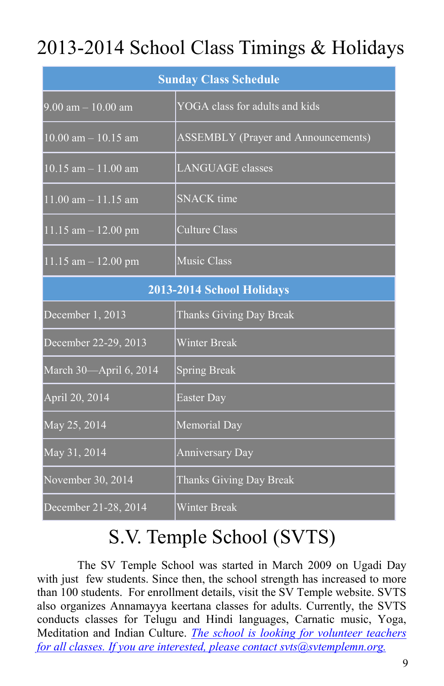## 2013-2014 School Class Timings & Holidays

| <b>Sunday Class Schedule</b>         |                                            |
|--------------------------------------|--------------------------------------------|
| $9.00 \text{ am} - 10.00 \text{ am}$ | YOGA class for adults and kids             |
| $10.00$ am $- 10.15$ am              | <b>ASSEMBLY</b> (Prayer and Announcements) |
| $10.15$ am $- 11.00$ am              | <b>LANGUAGE</b> classes                    |
| 11.00 am - 11.15 am                  | <b>SNACK</b> time                          |
| $11.15$ am $- 12.00$ pm              | <b>Culture Class</b>                       |
| $11.15$ am $- 12.00$ pm              | <b>Music Class</b>                         |
| 2013-2014 School Holidays            |                                            |
| December 1, 2013                     | Thanks Giving Day Break                    |
| December 22-29, 2013                 | <b>Winter Break</b>                        |
| March 30-April 6, 2014               | <b>Spring Break</b>                        |
| April 20, 2014                       | Easter Day                                 |
| May 25, 2014                         | Memorial Day                               |
| May 31, 2014                         | <b>Anniversary Day</b>                     |
| November 30, 2014                    | Thanks Giving Day Break                    |
| December 21-28, 2014                 | <b>Winter Break</b>                        |

## S.V. Temple School (SVTS)

The SV Temple School was started in March 2009 on Ugadi Day with just few students. Since then, the school strength has increased to more than 100 students. For enrollment details, visit the SV Temple website. SVTS also organizes Annamayya keertana classes for adults. Currently, the SVTS conducts classes for Telugu and Hindi languages, Carnatic music, Yoga, Meditation and Indian Culture. *The school is looking for volunteer teachers for all classes. If you are interested, please contact svts@svtemplemn.org.*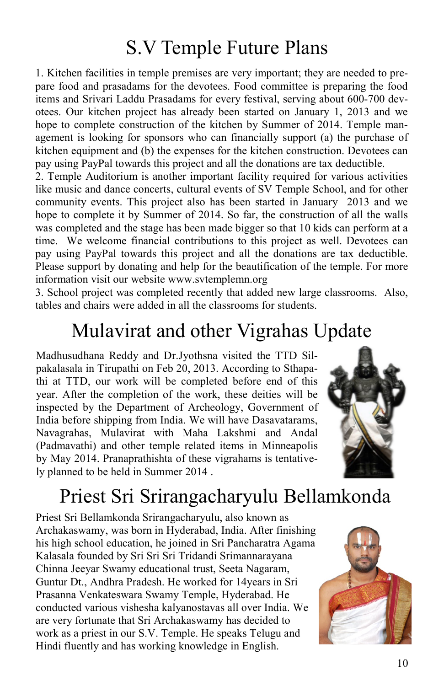## S.V Temple Future Plans

1. Kitchen facilities in temple premises are very important; they are needed to prepare food and prasadams for the devotees. Food committee is preparing the food items and Srivari Laddu Prasadams for every festival, serving about 600-700 devotees. Our kitchen project has already been started on January 1, 2013 and we hope to complete construction of the kitchen by Summer of 2014. Temple management is looking for sponsors who can financially support (a) the purchase of kitchen equipment and (b) the expenses for the kitchen construction. Devotees can pay using PayPal towards this project and all the donations are tax deductible.

2. Temple Auditorium is another important facility required for various activities like music and dance concerts, cultural events of SV Temple School, and for other community events. This project also has been started in January 2013 and we hope to complete it by Summer of 2014. So far, the construction of all the walls was completed and the stage has been made bigger so that 10 kids can perform at a time. We welcome financial contributions to this project as well. Devotees can pay using PayPal towards this project and all the donations are tax deductible. Please support by donating and help for the beautification of the temple. For more information visit our website www.svtemplemn.org

3. School project was completed recently that added new large classrooms. Also, tables and chairs were added in all the classrooms for students.

## Mulavirat and other Vigrahas Update

Madhusudhana Reddy and Dr.Jyothsna visited the TTD Silpakalasala in Tirupathi on Feb 20, 2013. According to Sthapathi at TTD, our work will be completed before end of this year. After the completion of the work, these deities will be inspected by the Department of Archeology, Government of India before shipping from India. We will have Dasavatarams, Navagrahas, Mulavirat with Maha Lakshmi and Andal (Padmavathi) and other temple related items in Minneapolis by May 2014. Pranaprathishta of these vigrahams is tentatively planned to be held in Summer 2014 .



## Priest Sri Srirangacharyulu Bellamkonda

Priest Sri Bellamkonda Srirangacharyulu, also known as Archakaswamy, was born in Hyderabad, India. After finishing his high school education, he joined in Sri Pancharatra Agama Kalasala founded by Sri Sri Sri Tridandi Srimannarayana Chinna Jeeyar Swamy educational trust, Seeta Nagaram, Guntur Dt., Andhra Pradesh. He worked for 14years in Sri Prasanna Venkateswara Swamy Temple, Hyderabad. He conducted various vishesha kalyanostavas all over India. We are very fortunate that Sri Archakaswamy has decided to work as a priest in our S.V. Temple. He speaks Telugu and Hindi fluently and has working knowledge in English.

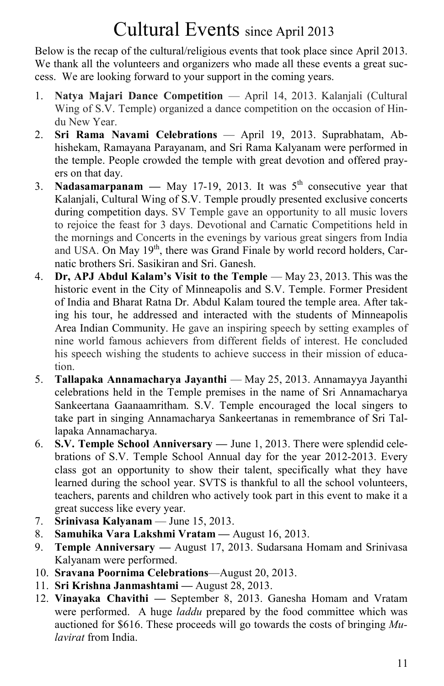## Cultural Events since April 2013

Below is the recap of the cultural/religious events that took place since April 2013. We thank all the volunteers and organizers who made all these events a great success. We are looking forward to your support in the coming years.

- 1. **Natya Majari Dance Competition**  April 14, 2013. Kalanjali (Cultural Wing of S.V. Temple) organized a dance competition on the occasion of Hindu New Year.
- 2. **Sri Rama Navami Celebrations** April 19, 2013. Suprabhatam, Abhishekam, Ramayana Parayanam, and Sri Rama Kalyanam were performed in the temple. People crowded the temple with great devotion and offered prayers on that day.
- 3. **Nadasamarpanam** May 17-19, 2013. It was  $5<sup>th</sup>$  consecutive year that Kalanjali, Cultural Wing of S.V. Temple proudly presented exclusive concerts during competition days. SV Temple gave an opportunity to all music lovers to rejoice the feast for 3 days. Devotional and Carnatic Competitions held in the mornings and Concerts in the evenings by various great singers from India and USA. On May 19<sup>th</sup>, there was Grand Finale by world record holders. Carnatic brothers Sri. Sasikiran and Sri. Ganesh.
- 4. **Dr, APJ Abdul Kalam's Visit to the Temple**  May 23, 2013. This was the historic event in the City of Minneapolis and S.V. Temple. Former President of India and Bharat Ratna Dr. Abdul Kalam toured the temple area. After taking his tour, he addressed and interacted with the students of Minneapolis Area Indian Community. He gave an inspiring speech by setting examples of nine world famous achievers from different fields of interest. He concluded his speech wishing the students to achieve success in their mission of education.
- 5. **Tallapaka Annamacharya Jayanthi**  May 25, 2013. Annamayya Jayanthi celebrations held in the Temple premises in the name of Sri Annamacharya Sankeertana Gaanaamritham. S.V. Temple encouraged the local singers to take part in singing Annamacharya Sankeertanas in remembrance of Sri Tallapaka Annamacharya.
- 6. **S.V. Temple School Anniversary** June 1, 2013. There were splendid celebrations of S.V. Temple School Annual day for the year 2012-2013. Every class got an opportunity to show their talent, specifically what they have learned during the school year. SVTS is thankful to all the school volunteers, teachers, parents and children who actively took part in this event to make it a great success like every year.
- 7. **Srinivasa Kalyanam** June 15, 2013.
- 8. **Samuhika Vara Lakshmi Vratam** August 16, 2013.
- 9. **Temple Anniversary —** August 17, 2013. Sudarsana Homam and Srinivasa Kalyanam were performed.
- 10. **Sravana Poornima Celebrations**—August 20, 2013.
- 11. **Sri Krishna Janmashtami —** August 28, 2013.
- 12. **Vinayaka Chavithi —** September 8, 2013. Ganesha Homam and Vratam were performed. A huge *laddu* prepared by the food committee which was auctioned for \$616. These proceeds will go towards the costs of bringing *Mulavirat* from India.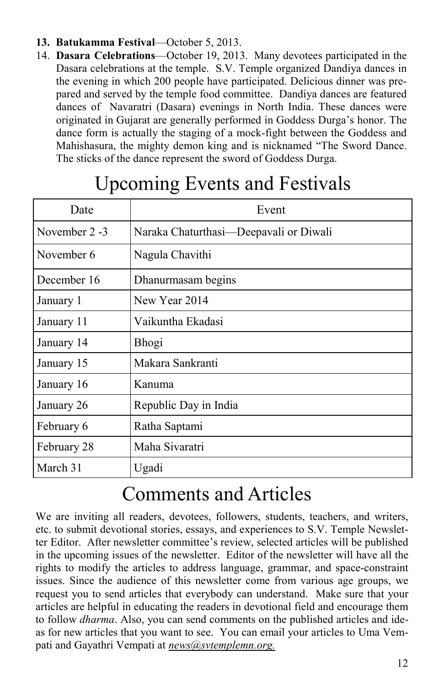- **13. Batukamma Festival**—October 5, 2013.
- 14. **Dasara Celebrations**—October 19, 2013. Many devotees participated in the Dasara celebrations at the temple. S.V. Temple organized Dandiya dances in the evening in which 200 people have participated. Delicious dinner was prepared and served by the temple food committee. Dandiya dances are featured dances of Navaratri (Dasara) evenings in North India. These dances were originated in Gujarat are generally performed in Goddess Durga's honor. The dance form is actually the staging of a mock-fight between the Goddess and Mahishasura, the mighty demon king and is nicknamed "The Sword Dance. The sticks of the dance represent the sword of Goddess Durga.

| Date          | Event                                  |
|---------------|----------------------------------------|
| November 2 -3 | Naraka Chaturthasi-Deepavali or Diwali |
| November 6    | Nagula Chavithi                        |
| December 16   | Dhanurmasam begins                     |
| January 1     | New Year 2014                          |
| January 11    | Vaikuntha Ekadasi                      |
| January 14    | Bhogi                                  |
| January 15    | Makara Sankranti                       |
| January 16    | Kanuma                                 |
| January 26    | Republic Day in India                  |
| February 6    | Ratha Saptami                          |
| February 28   | Maha Sivaratri                         |
| March 31      | Ugadi                                  |

## Upcoming Events and Festivals

## Comments and Articles

We are inviting all readers, devotees, followers, students, teachers, and writers, etc. to submit devotional stories, essays, and experiences to S.V. Temple Newsletter Editor. After newsletter committee's review, selected articles will be published in the upcoming issues of the newsletter. Editor of the newsletter will have all the rights to modify the articles to address language, grammar, and space-constraint issues. Since the audience of this newsletter come from various age groups, we request you to send articles that everybody can understand. Make sure that your articles are helpful in educating the readers in devotional field and encourage them to follow *dharma*. Also, you can send comments on the published articles and ideas for new articles that you want to see. You can email your articles to Uma Vempati and Gayathri Vempati at *news@svtemplemn.org.*